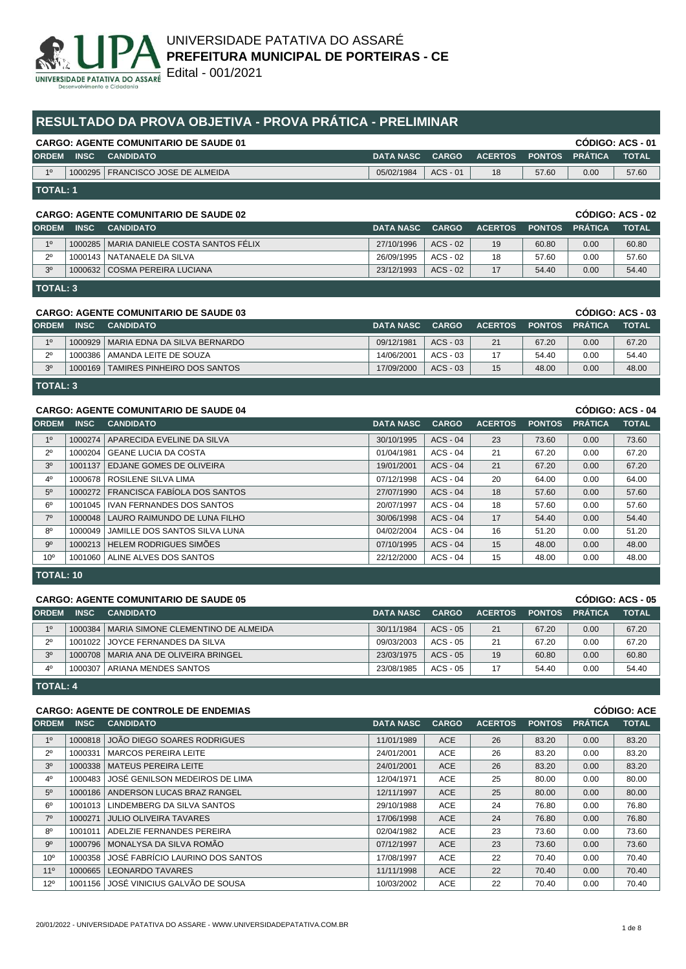

# **RESULTADO DA PROVA OBJETIVA - PROVA PRÁTICA - PRELIMINAR**

| <b>CARGO: AGENTE COMUNITARIO DE SAUDE 01</b> |                 |                                     |            |              |                          |       |      | CODIGO: ACS - 01 |
|----------------------------------------------|-----------------|-------------------------------------|------------|--------------|--------------------------|-------|------|------------------|
| <b>ORDEM</b>                                 | <b>INSC</b>     | <b>CANDIDATO</b>                    | DATA NASC  | <b>CARGO</b> | I ACERTOS PONTOS PRÁTICA |       |      | <b>TOTAL</b>     |
| 10                                           |                 | 1000295   FRANCISCO JOSE DE ALMEIDA | 05/02/1984 | $ACS - 01$   | 18                       | 57.60 | 0.00 | 57.60            |
|                                              | <b>TOTAL: 1</b> |                                     |            |              |                          |       |      |                  |

### **CARGO: AGENTE COMUNITARIO DE SAUDE 02 CÓDIGO: ACS - 02**

|                 |             |                                            |                  |              |                |                       |      | ------------ |
|-----------------|-------------|--------------------------------------------|------------------|--------------|----------------|-----------------------|------|--------------|
| <b>ORDEM</b>    | <b>INSC</b> | <b>CANDIDATO</b>                           | <b>DATA NASC</b> | <b>CARGO</b> | <b>ACERTOS</b> | <b>PONTOS PRÁTICA</b> |      | <b>TOTAL</b> |
| 10 <sup>°</sup> |             | 1000285   MARIA DANIELE COSTA SANTOS FÉLIX | 27/10/1996       | $ACS - 02$   | 19             | 60.80                 | 0.00 | 60.80        |
| 20              |             | 1000143   NATANAELE DA SILVA               | 26/09/1995       | ACS - 02     | 18             | 57.60                 | 0.00 | 57.60        |
| 20              |             | 1000632 COSMA PEREIRA LUCIANA              | 23/12/1993       | $ACS - 02$   |                | 54.40                 | 0.00 | 54.40        |

**TOTAL: 3**

## **CARGO: AGENTE COMUNITARIO DE SAUDE 03 CÓDIGO: ACS - 03**

|                |             | OAROO, AOLINIL OOMONITARIO DE OAODE 00 |                  |            |                |       | 00 UU NUU VU          |              |
|----------------|-------------|----------------------------------------|------------------|------------|----------------|-------|-----------------------|--------------|
| <b>ORDEM</b>   | <b>INSC</b> | <b>CANDIDATO</b>                       | <b>DATA NASC</b> | CARGO      | <b>ACERTOS</b> |       | <b>PONTOS PRÁTICA</b> | <b>TOTAL</b> |
| 10             |             | 1000929   MARIA EDNA DA SILVA BERNARDO | 09/12/1981       | $ACS - 03$ | 21             | 67.20 | 0.00                  | 67.20        |
| 20             |             | 1000386   AMANDA LEITE DE SOUZA        | 14/06/2001       | $ACS - 03$ |                | 54.40 | 0.00                  | 54.40        |
| 3 <sup>o</sup> | 1000169     | I TAMIRES PINHEIRO DOS SANTOS          | 17/09/2000       | $ACS - 03$ | 15             | 48.00 | 0.00                  | 48.00        |
|                |             |                                        |                  |            |                |       |                       |              |

**TOTAL: 3**

| CÓDIGO: ACS - 04<br><b>CARGO: AGENTE COMUNITARIO DE SAUDE 04</b> |             |                                  |                  |              |                |               |                |              |
|------------------------------------------------------------------|-------------|----------------------------------|------------------|--------------|----------------|---------------|----------------|--------------|
| <b>ORDEM</b>                                                     | <b>INSC</b> | <b>CANDIDATO</b>                 | <b>DATA NASC</b> | <b>CARGO</b> | <b>ACERTOS</b> | <b>PONTOS</b> | <b>PRÁTICA</b> | <b>TOTAL</b> |
| 1 <sup>0</sup>                                                   | 1000274     | APARECIDA EVELINE DA SILVA       | 30/10/1995       | $ACS - 04$   | 23             | 73.60         | 0.00           | 73.60        |
| $2^{\circ}$                                                      | 1000204     | GEANE LUCIA DA COSTA             | 01/04/1981       | $ACS - 04$   | 21             | 67.20         | 0.00           | 67.20        |
| 3 <sup>o</sup>                                                   | 1001137     | <b>EDJANE GOMES DE OLIVEIRA</b>  | 19/01/2001       | $ACS - 04$   | 21             | 67.20         | 0.00           | 67.20        |
| $4^{\circ}$                                                      | 1000678     | ROSILENE SILVA LIMA              | 07/12/1998       | $ACS - 04$   | 20             | 64.00         | 0.00           | 64.00        |
| 5 <sup>0</sup>                                                   | 1000272     | FRANCISCA FABIOLA DOS SANTOS     | 27/07/1990       | $ACS - 04$   | 18             | 57.60         | 0.00           | 57.60        |
| $6^{\circ}$                                                      | 1001045     | <b>IVAN FERNANDES DOS SANTOS</b> | 20/07/1997       | $ACS - 04$   | 18             | 57.60         | 0.00           | 57.60        |
| 7 <sup>0</sup>                                                   | 1000048     | LAURO RAIMUNDO DE LUNA FILHO     | 30/06/1998       | $ACS - 04$   | 17             | 54.40         | 0.00           | 54.40        |
| $8^{\circ}$                                                      | 1000049     | JAMILLE DOS SANTOS SILVA LUNA    | 04/02/2004       | $ACS - 04$   | 16             | 51.20         | 0.00           | 51.20        |
| $9^{\circ}$                                                      | 1000213     | <b>HELEM RODRIGUES SIMÕES</b>    | 07/10/1995       | $ACS - 04$   | 15             | 48.00         | 0.00           | 48.00        |
| 10 <sup>o</sup>                                                  | 1001060     | ALINE ALVES DOS SANTOS           | 22/12/2000       | $ACS - 04$   | 15             | 48.00         | 0.00           | 48.00        |
|                                                                  |             |                                  |                  |              |                |               |                |              |

**TOTAL: 10**

## **CARGO: AGENTE COMUNITARIO DE SAUDE 05 CÓDIGO: ACS - 05**

|                |             | <u>UARUU. AULINI LIUUINUINI ARIU DE UAUDE VJ</u> |                  |              |                |               |                | oopigo. Ago - 03 |
|----------------|-------------|--------------------------------------------------|------------------|--------------|----------------|---------------|----------------|------------------|
| <b>ORDEM</b>   | <b>INSC</b> | <b>CANDIDATO</b>                                 | <b>DATA NASC</b> | <b>CARGO</b> | <b>ACERTOS</b> | <b>PONTOS</b> | <b>PRÁTICA</b> | <b>TOTAL</b>     |
| 10             |             | 1000384   MARIA SIMONE CLEMENTINO DE ALMEIDA     | 30/11/1984       | $ACS - 05$   | 21             | 67.20         | 0.00           | 67.20            |
| - 20           |             | 1001022 JJOYCE FERNANDES DA SILVA                | 09/03/2003       | ACS - 05     | 21             | 67.20         | 0.00           | 67.20            |
| 3 <sup>0</sup> |             | 1000708   MARIA ANA DE OLIVEIRA BRINGEL          | 23/03/1975       | $ACS - 05$   | 19             | 60.80         | 0.00           | 60.80            |
| 4 <sup>0</sup> |             | 1000307 ARIANA MENDES SANTOS                     | 23/08/1985       | $ACS - 05$   |                | 54.40         | 0.00           | 54.40            |
|                |             |                                                  |                  |              |                |               |                |                  |

**TOTAL: 4**

## **CARGO: AGENTE DE CONTROLE DE ENDEMIAS CÓDIGO: ACE**

| <b>ORDEM</b>    | <b>INSC</b> | <b>CANDIDATO</b>                     | <b>DATA NASC</b> | <b>CARGO</b> | <b>ACERTOS</b> | <b>PONTOS</b> | <b>PRÁTICA</b> | <b>TOTAL</b> |
|-----------------|-------------|--------------------------------------|------------------|--------------|----------------|---------------|----------------|--------------|
| 1 <sup>0</sup>  | 1000818     | JOÃO DIEGO SOARES RODRIGUES          | 11/01/1989       | <b>ACE</b>   | 26             | 83.20         | 0.00           | 83.20        |
| $2^{\circ}$     | 1000331     | <b>MARCOS PEREIRA LEITE</b>          | 24/01/2001       | <b>ACE</b>   | 26             | 83.20         | 0.00           | 83.20        |
| 3 <sup>o</sup>  | 1000338     | MATEUS PEREIRA LEITE                 | 24/01/2001       | ACE          | 26             | 83.20         | 0.00           | 83.20        |
| $4^{\circ}$     | 1000483     | ∣ JOSÉ GENILSON MEDEIROS DE LIMA     | 12/04/1971       | <b>ACE</b>   | 25             | 80.00         | 0.00           | 80.00        |
| $5^{\circ}$     | 1000186     | ANDERSON LUCAS BRAZ RANGEL           | 12/11/1997       | <b>ACE</b>   | 25             | 80.00         | 0.00           | 80.00        |
| $6^{\circ}$     | 1001013     | LINDEMBERG DA SILVA SANTOS           | 29/10/1988       | <b>ACE</b>   | 24             | 76.80         | 0.00           | 76.80        |
| $7^\circ$       | 1000271     | <b>JULIO OLIVEIRA TAVARES</b>        | 17/06/1998       | <b>ACE</b>   | 24             | 76.80         | 0.00           | 76.80        |
| $8^{\circ}$     | 1001011     | ADELZIE FERNANDES PEREIRA            | 02/04/1982       | <b>ACE</b>   | 23             | 73.60         | 0.00           | 73.60        |
| $9^{\circ}$     |             | 1000796   MONALYSA DA SILVA ROMÃO    | 07/12/1997       | <b>ACE</b>   | 23             | 73.60         | 0.00           | 73.60        |
| 10 <sup>o</sup> | 1000358     | JOSÉ FABRÍCIO LAURINO DOS SANTOS     | 17/08/1997       | <b>ACE</b>   | 22             | 70.40         | 0.00           | 70.40        |
| 11 <sup>°</sup> | 1000665     | LEONARDO TAVARES                     | 11/11/1998       | <b>ACE</b>   | 22             | 70.40         | 0.00           | 70.40        |
| $12^{\circ}$    | 1001156     | <b>JOSÉ VINICIUS GALVÃO DE SOUSA</b> | 10/03/2002       | <b>ACE</b>   | 22             | 70.40         | 0.00           | 70.40        |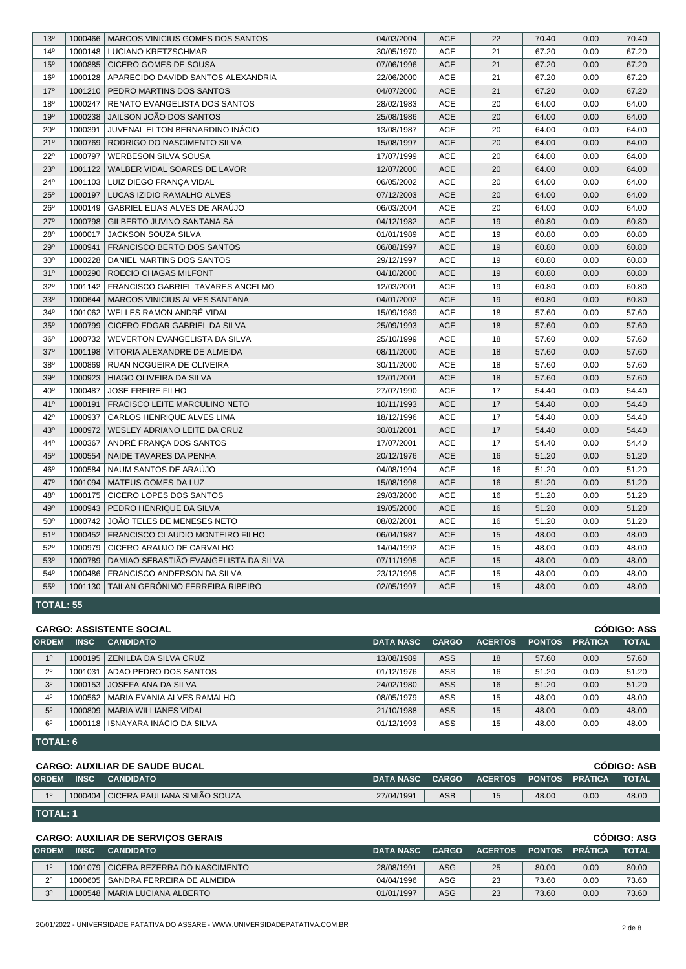| 13 <sup>o</sup> | 1000466          | MARCOS VINICIUS GOMES DOS SANTOS      | 04/03/2004 | <b>ACE</b> | 22 | 70.40 | 0.00 | 70.40 |  |
|-----------------|------------------|---------------------------------------|------------|------------|----|-------|------|-------|--|
| 14 <sup>0</sup> | 1000148          | LUCIANO KRETZSCHMAR                   | 30/05/1970 | ACE        | 21 | 67.20 | 0.00 | 67.20 |  |
| 15 <sup>o</sup> | 1000885          | <b>CICERO GOMES DE SOUSA</b>          | 07/06/1996 | ACE        | 21 | 67.20 | 0.00 | 67.20 |  |
| 16 <sup>o</sup> | 1000128          | APARECIDO DAVIDD SANTOS ALEXANDRIA    | 22/06/2000 | <b>ACE</b> | 21 | 67.20 | 0.00 | 67.20 |  |
| 17 <sup>°</sup> | 1001210          | PEDRO MARTINS DOS SANTOS              | 04/07/2000 | <b>ACE</b> | 21 | 67.20 | 0.00 | 67.20 |  |
| 18 <sup>o</sup> | 1000247          | <b>RENATO EVANGELISTA DOS SANTOS</b>  | 28/02/1983 | <b>ACE</b> | 20 | 64.00 | 0.00 | 64.00 |  |
| 19 <sup>o</sup> | 1000238          | JAILSON JOÃO DOS SANTOS               | 25/08/1986 | <b>ACE</b> | 20 | 64.00 | 0.00 | 64.00 |  |
| $20^{\circ}$    | 1000391          | JUVENAL ELTON BERNARDINO INÁCIO       | 13/08/1987 | <b>ACE</b> | 20 | 64.00 | 0.00 | 64.00 |  |
| 21°             | 1000769          | RODRIGO DO NASCIMENTO SILVA           | 15/08/1997 | <b>ACE</b> | 20 | 64.00 | 0.00 | 64.00 |  |
| $22^{\circ}$    | 1000797          | WERBESON SILVA SOUSA                  | 17/07/1999 | ACE        | 20 | 64.00 | 0.00 | 64.00 |  |
| 23 <sup>o</sup> | 1001122          | <b>WALBER VIDAL SOARES DE LAVOR</b>   | 12/07/2000 | <b>ACE</b> | 20 | 64.00 | 0.00 | 64.00 |  |
| 24°             | 1001103          | LUIZ DIEGO FRANÇA VIDAL               | 06/05/2002 | <b>ACE</b> | 20 | 64.00 | 0.00 | 64.00 |  |
| $25^{\circ}$    | 1000197          | LUCAS IZIDIO RAMALHO ALVES            | 07/12/2003 | <b>ACE</b> | 20 | 64.00 | 0.00 | 64.00 |  |
| $26^{\circ}$    | 1000149          | <b>GABRIEL ELIAS ALVES DE ARAÚJO</b>  | 06/03/2004 | <b>ACE</b> | 20 | 64.00 | 0.00 | 64.00 |  |
| 27°             | 1000798          | GILBERTO JUVINO SANTANA SÁ            | 04/12/1982 | <b>ACE</b> | 19 | 60.80 | 0.00 | 60.80 |  |
| 28°             | 1000017          | JACKSON SOUZA SILVA                   | 01/01/1989 | <b>ACE</b> | 19 | 60.80 | 0.00 | 60.80 |  |
| 29°             | 1000941          | FRANCISCO BERTO DOS SANTOS            | 06/08/1997 | <b>ACE</b> | 19 | 60.80 | 0.00 | 60.80 |  |
| 30 <sup>o</sup> | 1000228          | DANIEL MARTINS DOS SANTOS             | 29/12/1997 | <b>ACE</b> | 19 | 60.80 | 0.00 | 60.80 |  |
| 31°             | 1000290          | ROECIO CHAGAS MILFONT                 | 04/10/2000 | <b>ACE</b> | 19 | 60.80 | 0.00 | 60.80 |  |
| 32°             | 1001142          | FRANCISCO GABRIEL TAVARES ANCELMO     | 12/03/2001 | <b>ACE</b> | 19 | 60.80 | 0.00 | 60.80 |  |
| 33 <sup>0</sup> | 1000644          | MARCOS VINICIUS ALVES SANTANA         | 04/01/2002 | <b>ACE</b> | 19 | 60.80 | 0.00 | 60.80 |  |
| 34°             | 1001062          | WELLES RAMON ANDRÉ VIDAL              | 15/09/1989 | ACE        | 18 | 57.60 | 0.00 | 57.60 |  |
| 35 <sup>0</sup> | 1000799          | CICERO EDGAR GABRIEL DA SILVA         | 25/09/1993 | <b>ACE</b> | 18 | 57.60 | 0.00 | 57.60 |  |
| 36 <sup>o</sup> | 1000732          | WEVERTON EVANGELISTA DA SILVA         | 25/10/1999 | <b>ACE</b> | 18 | 57.60 | 0.00 | 57.60 |  |
| $37^\circ$      | 1001198          | VITORIA ALEXANDRE DE ALMEIDA          | 08/11/2000 | <b>ACE</b> | 18 | 57.60 | 0.00 | 57.60 |  |
| 38°             | 1000869          | RUAN NOGUEIRA DE OLIVEIRA             | 30/11/2000 | ACE        | 18 | 57.60 | 0.00 | 57.60 |  |
| 39°             | 1000923          | HIAGO OLIVEIRA DA SILVA               | 12/01/2001 | <b>ACE</b> | 18 | 57.60 | 0.00 | 57.60 |  |
| 40°             | 1000487          | <b>JOSE FREIRE FILHO</b>              | 27/07/1990 | <b>ACE</b> | 17 | 54.40 | 0.00 | 54.40 |  |
| 41°             | 1000191          | <b>FRACISCO LEITE MARCULINO NETO</b>  | 10/11/1993 | ACE        | 17 | 54.40 | 0.00 | 54.40 |  |
| 42°             | 1000937          | CARLOS HENRIQUE ALVES LIMA            | 18/12/1996 | <b>ACE</b> | 17 | 54.40 | 0.00 | 54.40 |  |
| 43°             | 1000972          | WESLEY ADRIANO LEITE DA CRUZ          | 30/01/2001 | <b>ACE</b> | 17 | 54.40 | 0.00 | 54.40 |  |
| 44°             | 1000367          | ANDRÉ FRANÇA DOS SANTOS               | 17/07/2001 | <b>ACE</b> | 17 | 54.40 | 0.00 | 54.40 |  |
| $45^{\circ}$    | 1000554          | NAIDE TAVARES DA PENHA                | 20/12/1976 | <b>ACE</b> | 16 | 51.20 | 0.00 | 51.20 |  |
| 46°             | 1000584          | NAUM SANTOS DE ARAÚJO                 | 04/08/1994 | <b>ACE</b> | 16 | 51.20 | 0.00 | 51.20 |  |
| 47°             | 1001094          | <b>MATEUS GOMES DA LUZ</b>            | 15/08/1998 | <b>ACE</b> | 16 | 51.20 | 0.00 | 51.20 |  |
| 48°             | 1000175          | CICERO LOPES DOS SANTOS               | 29/03/2000 | <b>ACE</b> | 16 | 51.20 | 0.00 | 51.20 |  |
| 490             | 1000943          | PEDRO HENRIQUE DA SILVA               | 19/05/2000 | <b>ACE</b> | 16 | 51.20 | 0.00 | 51.20 |  |
| 50 <sup>o</sup> | 1000742          | JOÃO TELES DE MENESES NETO            | 08/02/2001 | <b>ACE</b> | 16 | 51.20 | 0.00 | 51.20 |  |
| 51°             | 1000452          | FRANCISCO CLAUDIO MONTEIRO FILHO      | 06/04/1987 | <b>ACE</b> | 15 | 48.00 | 0.00 | 48.00 |  |
| $52^{\circ}$    | 1000979          | CICERO ARAUJO DE CARVALHO             | 14/04/1992 | <b>ACE</b> | 15 | 48.00 | 0.00 | 48.00 |  |
| 53 <sup>o</sup> | 1000789          | DAMIAO SEBASTIÃO EVANGELISTA DA SILVA | 07/11/1995 | ACE        | 15 | 48.00 | 0.00 | 48.00 |  |
| 54°             | 1000486          | FRANCISCO ANDERSON DA SILVA           | 23/12/1995 | ACE        | 15 | 48.00 | 0.00 | 48.00 |  |
| $55^{\circ}$    | 1001130          | TAILAN GERÔNIMO FERREIRA RIBEIRO      | 02/05/1997 | <b>ACE</b> | 15 | 48.00 | 0.00 | 48.00 |  |
|                 | <b>TOTAL: 55</b> |                                       |            |            |    |       |      |       |  |

|                |             | <b>CARGO: ASSISTENTE SOCIAL</b>    |                  |              |                |               |                | <b>CODIGO: ASS</b> |
|----------------|-------------|------------------------------------|------------------|--------------|----------------|---------------|----------------|--------------------|
| <b>ORDEM</b>   | <b>INSC</b> | <b>CANDIDATO</b>                   | <b>DATA NASC</b> | <b>CARGO</b> | <b>ACERTOS</b> | <b>PONTOS</b> | <b>PRÁTICA</b> | <b>TOTAL</b>       |
| 10             |             | 1000195 ZENILDA DA SILVA CRUZ      | 13/08/1989       | <b>ASS</b>   | 18             | 57.60         | 0.00           | 57.60              |
| $2^{\circ}$    | 1001031     | ADAO PEDRO DOS SANTOS              | 01/12/1976       | ASS          | 16             | 51.20         | 0.00           | 51.20              |
| 3 <sup>o</sup> | 1000153     | <b>JOSEFA ANA DA SILVA</b>         | 24/02/1980       | <b>ASS</b>   | 16             | 51.20         | 0.00           | 51.20              |
| 4 <sup>0</sup> |             | 1000562 MARIA EVANIA ALVES RAMALHO | 08/05/1979       | ASS          | 15             | 48.00         | 0.00           | 48.00              |
| 5 <sup>0</sup> |             | 1000809   MARIA WILLIANES VIDAL    | 21/10/1988       | <b>ASS</b>   | 15             | 48.00         | 0.00           | 48.00              |
| 60             |             | 1000118   ISNAYARA INACIO DA SILVA | 01/12/1993       | <b>ASS</b>   | 15             | 48.00         | 0.00           | 48.00              |
|                |             |                                    |                  |              |                |               |                |                    |

**TOTAL: 6**

### **CARGO: AUXILIAR DE SAUDE BUCAL CÓDIGO: ASB**

|                 |             |                                        |                  |              |                |                       |      | ----------   |
|-----------------|-------------|----------------------------------------|------------------|--------------|----------------|-----------------------|------|--------------|
| <b>ORDEM</b>    | <b>INSC</b> | <b>CANDIDATO</b>                       | <b>DATA NASC</b> | <b>CARGO</b> | <b>ACERTOS</b> | <b>PONTOS PRÁTICA</b> |      | <b>TOTAL</b> |
| 10              |             | 1000404   CICERA PAULIANA SIMIÃO SOUZA | 27/04/1991       | ASB          | 15             | 48.00                 | 0.00 | 48.00        |
| <b>TOTAL: 1</b> |             |                                        |                  |              |                |                       |      |              |

## **CARGO: AUXILIAR DE SERVIÇOS GERAIS CÓDIGO: ASG**

| <b>ORDEM</b> | <b>INSC</b> | <b>CANDIDATO</b>                     | <b>DATA NASC</b> | CARGO | <b>ACERTOS</b> | <b>PONTOS</b> | <b>PRÁTICA</b> | <b>TOTAL</b> |
|--------------|-------------|--------------------------------------|------------------|-------|----------------|---------------|----------------|--------------|
| 10           |             | 1001079 CICERA BEZERRA DO NASCIMENTO | 28/08/1991       | ASG   | 25             | 80.00         | 0.00           | 80.00        |
| 20           |             | 1000605 SANDRA FERREIRA DE ALMEIDA   | 04/04/1996       | ASG   | 23             | 73.60         | 0.00           | 73.60        |
| 20           |             | 1000548   MARIA LUCIANA ALBERTO      | 01/01/1997       | ASG   | 23             | 73.60         | 0.00           | 73.60        |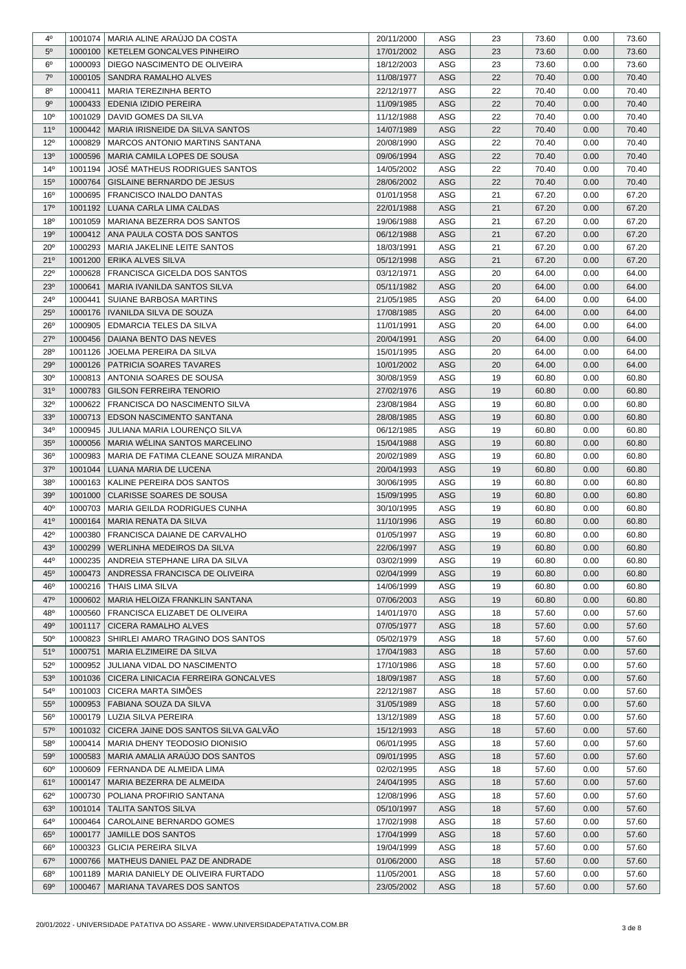| $4^{\circ}$     |         | 1001074   MARIA ALINE ARAUJO DA COSTA | 20/11/2000 | ASG        | 23 | 73.60 | 0.00 | 73.60 |
|-----------------|---------|---------------------------------------|------------|------------|----|-------|------|-------|
| 5 <sup>0</sup>  | 1000100 | <b>KETELEM GONCALVES PINHEIRO</b>     | 17/01/2002 | ASG        | 23 | 73.60 | 0.00 | 73.60 |
| $6^{\circ}$     | 1000093 | DIEGO NASCIMENTO DE OLIVEIRA          | 18/12/2003 | ASG        | 23 | 73.60 | 0.00 | 73.60 |
| 7 <sup>0</sup>  | 1000105 | SANDRA RAMALHO ALVES                  | 11/08/1977 | <b>ASG</b> | 22 | 70.40 | 0.00 | 70.40 |
| $8^{\circ}$     | 1000411 | MARIA TEREZINHA BERTO                 | 22/12/1977 | ASG        | 22 | 70.40 | 0.00 | 70.40 |
| $9^{\circ}$     | 1000433 | EDENIA IZIDIO PEREIRA                 | 11/09/1985 | ASG        | 22 | 70.40 | 0.00 | 70.40 |
| 10 <sup>o</sup> | 1001029 | DAVID GOMES DA SILVA                  | 11/12/1988 | ASG        | 22 | 70.40 | 0.00 | 70.40 |
| $11^{\circ}$    | 1000442 | MARIA IRISNEIDE DA SILVA SANTOS       | 14/07/1989 | <b>ASG</b> | 22 | 70.40 | 0.00 | 70.40 |
| $12^{\circ}$    | 1000829 | MARCOS ANTONIO MARTINS SANTANA        | 20/08/1990 | ASG        | 22 | 70.40 | 0.00 | 70.40 |
| 13 <sup>o</sup> | 1000596 | MARIA CAMILA LOPES DE SOUSA           | 09/06/1994 | ASG        | 22 | 70.40 | 0.00 | 70.40 |
| $14^{o}$        | 1001194 | JOSÉ MATHEUS RODRIGUES SANTOS         | 14/05/2002 | ASG        | 22 | 70.40 | 0.00 | 70.40 |
| 15 <sup>o</sup> | 1000764 | GISLAINE BERNARDO DE JESUS            | 28/06/2002 | <b>ASG</b> | 22 | 70.40 | 0.00 | 70.40 |
| 16 <sup>o</sup> | 1000695 | <b>FRANCISCO INALDO DANTAS</b>        | 01/01/1958 | ASG        | 21 | 67.20 | 0.00 | 67.20 |
| 17 <sup>°</sup> | 1001192 | LUANA CARLA LIMA CALDAS               | 22/01/1988 | <b>ASG</b> | 21 | 67.20 | 0.00 | 67.20 |
| 18 <sup>0</sup> | 1001059 | MARIANA BEZERRA DOS SANTOS            | 19/06/1988 | ASG        | 21 | 67.20 | 0.00 | 67.20 |
| 19 <sup>o</sup> | 1000412 | ANA PAULA COSTA DOS SANTOS            | 06/12/1988 | <b>ASG</b> | 21 | 67.20 | 0.00 | 67.20 |
| 20 <sup>o</sup> | 1000293 | MARIA JAKELINE LEITE SANTOS           | 18/03/1991 | ASG        | 21 | 67.20 | 0.00 | 67.20 |
| 21°             | 1001200 | <b>ERIKA ALVES SILVA</b>              | 05/12/1998 | ASG        | 21 | 67.20 | 0.00 | 67.20 |
| $22^{\circ}$    | 1000628 | <b>FRANCISCA GICELDA DOS SANTOS</b>   | 03/12/1971 | ASG        | 20 | 64.00 | 0.00 | 64.00 |
| 23 <sup>0</sup> | 1000641 | MARIA IVANILDA SANTOS SILVA           | 05/11/1982 | ASG        | 20 | 64.00 | 0.00 | 64.00 |
| $24^{\circ}$    | 1000441 | SUIANE BARBOSA MARTINS                | 21/05/1985 | ASG        | 20 | 64.00 | 0.00 | 64.00 |
| $25^{\circ}$    | 1000176 | <b>IVANILDA SILVA DE SOUZA</b>        | 17/08/1985 | <b>ASG</b> | 20 | 64.00 | 0.00 | 64.00 |
| $26^{\circ}$    | 1000905 | <b>EDMARCIA TELES DA SILVA</b>        | 11/01/1991 | ASG        | 20 | 64.00 | 0.00 | 64.00 |
| $27^\circ$      | 1000456 | DAIANA BENTO DAS NEVES                | 20/04/1991 | ASG        | 20 | 64.00 | 0.00 | 64.00 |
| 28°             | 1001126 | JOELMA PEREIRA DA SILVA               | 15/01/1995 | ASG        | 20 | 64.00 | 0.00 | 64.00 |
| 29°             | 1000126 | <b>PATRICIA SOARES TAVARES</b>        | 10/01/2002 | <b>ASG</b> | 20 | 64.00 | 0.00 | 64.00 |
| 30 <sup>o</sup> | 1000813 | ANTONIA SOARES DE SOUSA               | 30/08/1959 | ASG        | 19 | 60.80 | 0.00 | 60.80 |
| 31°             | 1000783 | GILSON FERREIRA TENORIO               | 27/02/1976 | ASG        | 19 | 60.80 | 0.00 | 60.80 |
| $32^{\circ}$    | 1000622 | FRANCISCA DO NASCIMENTO SILVA         | 23/08/1984 | ASG        | 19 | 60.80 | 0.00 | 60.80 |
| 33°             | 1000713 | <b>EDSON NASCIMENTO SANTANA</b>       | 28/08/1985 | <b>ASG</b> | 19 | 60.80 | 0.00 | 60.80 |
| $34^{\circ}$    | 1000945 | JULIANA MARIA LOURENÇO SILVA          | 06/12/1985 | ASG        | 19 | 60.80 | 0.00 | 60.80 |
| 35 <sup>o</sup> | 1000056 | MARIA WÉLINA SANTOS MARCELINO         | 15/04/1988 | <b>ASG</b> | 19 | 60.80 | 0.00 | 60.80 |
| 36 <sup>o</sup> | 1000983 | MARIA DE FATIMA CLEANE SOUZA MIRANDA  | 20/02/1989 | ASG        | 19 | 60.80 | 0.00 | 60.80 |
| $37^\circ$      | 1001044 | LUANA MARIA DE LUCENA                 | 20/04/1993 | <b>ASG</b> | 19 | 60.80 | 0.00 | 60.80 |
| 38°             | 1000163 | KALINE PEREIRA DOS SANTOS             | 30/06/1995 | ASG        | 19 | 60.80 | 0.00 | 60.80 |
| 39°             | 1001000 | CLARISSE SOARES DE SOUSA              | 15/09/1995 | <b>ASG</b> | 19 | 60.80 | 0.00 | 60.80 |
| 40 <sup>o</sup> | 1000703 | MARIA GEILDA RODRIGUES CUNHA          | 30/10/1995 | ASG        | 19 | 60.80 | 0.00 | 60.80 |
| 41 <sup>°</sup> | 1000164 | MARIA RENATA DA SILVA                 | 11/10/1996 | ASG        | 19 | 60.80 | 0.00 | 60.80 |
| 42°             | 1000380 | FRANCISCA DAIANE DE CARVALHO          | 01/05/1997 | ASG        | 19 | 60.80 | 0.00 | 60.80 |
| 43°             | 1000299 | WERLINHA MEDEIROS DA SILVA            | 22/06/1997 | ASG        | 19 | 60.80 | 0.00 | 60.80 |
| 44°             | 1000235 | ANDREIA STEPHANE LIRA DA SILVA        | 03/02/1999 | ASG        | 19 | 60.80 | 0.00 | 60.80 |
| $45^\circ$      | 1000473 | ANDRESSA FRANCISCA DE OLIVEIRA        | 02/04/1999 | ASG        | 19 | 60.80 | 0.00 | 60.80 |
| 46°             |         | 1000216   THAIS LIMA SILVA            | 14/06/1999 | ASG        | 19 | 60.80 | 0.00 | 60.80 |
| 47°             | 1000602 | MARIA HELOIZA FRANKLIN SANTANA        | 07/06/2003 | ASG        | 19 | 60.80 | 0.00 | 60.80 |
| 48°             | 1000560 | FRANCISCA ELIZABET DE OLIVEIRA        | 14/01/1970 | ASG        | 18 | 57.60 | 0.00 | 57.60 |
| 49°             | 1001117 | <b>CICERA RAMALHO ALVES</b>           | 07/05/1977 | ASG        | 18 | 57.60 | 0.00 | 57.60 |
| $50^\circ$      | 1000823 | SHIRLEI AMARO TRAGINO DOS SANTOS      | 05/02/1979 | ASG        | 18 | 57.60 | 0.00 | 57.60 |
| 51°             | 1000751 | MARIA ELZIMEIRE DA SILVA              | 17/04/1983 | <b>ASG</b> | 18 | 57.60 | 0.00 | 57.60 |
| $52^{\circ}$    | 1000952 | JULIANA VIDAL DO NASCIMENTO           | 17/10/1986 | ASG        | 18 | 57.60 | 0.00 | 57.60 |
| 53°             | 1001036 | CICERA LINICACIA FERREIRA GONCALVES   | 18/09/1987 | ASG        | 18 | 57.60 | 0.00 | 57.60 |
| $54^{\circ}$    | 1001003 | CICERA MARTA SIMÕES                   | 22/12/1987 | ASG        | 18 | 57.60 | 0.00 | 57.60 |
| $55^{\circ}$    | 1000953 | FABIANA SOUZA DA SILVA                | 31/05/1989 | ASG        | 18 | 57.60 | 0.00 | 57.60 |
| 56°             | 1000179 | LUZIA SILVA PEREIRA                   | 13/12/1989 | ASG        | 18 | 57.60 | 0.00 | 57.60 |
| $57^\circ$      | 1001032 | CICERA JAINE DOS SANTOS SILVA GALVAO  | 15/12/1993 | ASG        | 18 | 57.60 | 0.00 | 57.60 |
| 58°             | 1000414 | MARIA DHENY TEODOSIO DIONISIO         | 06/01/1995 | ASG        | 18 | 57.60 | 0.00 | 57.60 |
| $59^\circ$      | 1000583 | MARIA AMALIA ARAUJO DOS SANTOS        | 09/01/1995 | ASG        | 18 | 57.60 | 0.00 | 57.60 |
| $60^{\circ}$    | 1000609 | FERNANDA DE ALMEIDA LIMA              | 02/02/1995 | ASG        | 18 | 57.60 | 0.00 | 57.60 |
| 61°             | 1000147 | MARIA BEZERRA DE ALMEIDA              | 24/04/1995 | ASG        | 18 | 57.60 | 0.00 | 57.60 |
| $62^{\circ}$    | 1000730 | POLIANA PROFIRIO SANTANA              | 12/08/1996 | ASG        | 18 | 57.60 | 0.00 | 57.60 |
| $63^\circ$      | 1001014 | <b>TALITA SANTOS SILVA</b>            | 05/10/1997 | ASG        | 18 | 57.60 | 0.00 | 57.60 |
| $64^{\circ}$    | 1000464 | CAROLAINE BERNARDO GOMES              | 17/02/1998 | ASG        | 18 | 57.60 | 0.00 | 57.60 |
| 65°             | 1000177 | JAMILLE DOS SANTOS                    | 17/04/1999 | <b>ASG</b> | 18 | 57.60 | 0.00 | 57.60 |
| $66^{\circ}$    | 1000323 | GLICIA PEREIRA SILVA                  | 19/04/1999 | ASG        | 18 | 57.60 | 0.00 | 57.60 |
| $67^\circ$      | 1000766 | MATHEUS DANIEL PAZ DE ANDRADE         | 01/06/2000 | ASG        | 18 | 57.60 | 0.00 | 57.60 |
| $68^{\circ}$    | 1001189 | MARIA DANIELY DE OLIVEIRA FURTADO     | 11/05/2001 | ASG        | 18 | 57.60 | 0.00 | 57.60 |
| $69^\circ$      | 1000467 | MARIANA TAVARES DOS SANTOS            | 23/05/2002 | ASG        | 18 | 57.60 | 0.00 | 57.60 |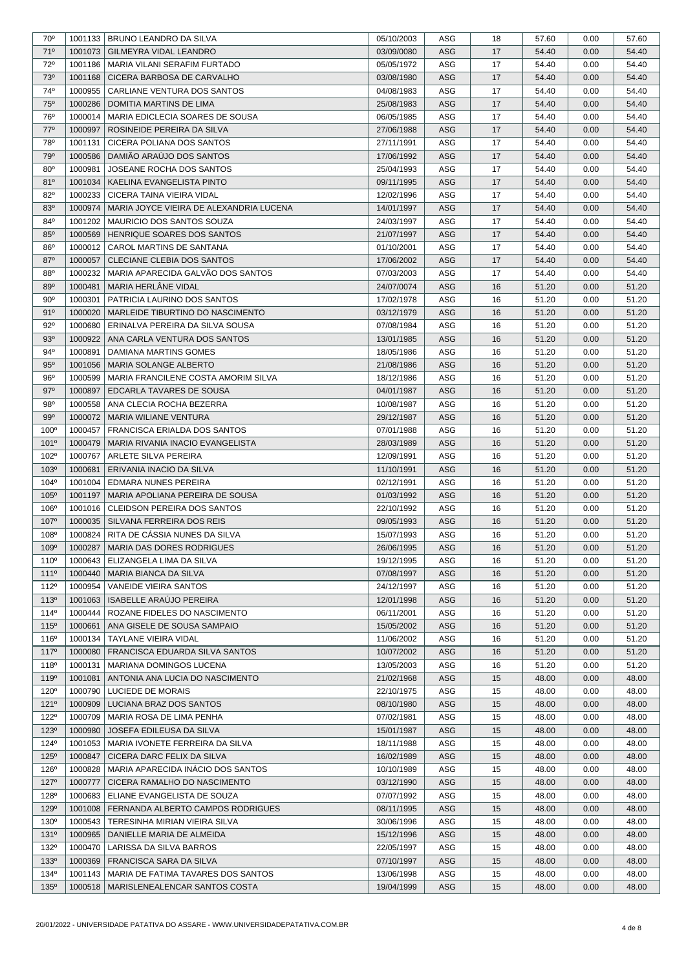| $70^{\circ}$     | 1001133 | <b>BRUNO LEANDRO DA SILVA</b>            | 05/10/2003 | ASG        | 18 | 57.60 | 0.00 | 57.60 |
|------------------|---------|------------------------------------------|------------|------------|----|-------|------|-------|
| 71°              | 1001073 | <b>GILMEYRA VIDAL LEANDRO</b>            | 03/09/0080 | ASG        | 17 | 54.40 | 0.00 | 54.40 |
| 72°              | 1001186 | MARIA VILANI SERAFIM FURTADO             | 05/05/1972 | ASG        | 17 | 54.40 | 0.00 | 54.40 |
| 73°              | 1001168 | CICERA BARBOSA DE CARVALHO               | 03/08/1980 | <b>ASG</b> | 17 | 54.40 | 0.00 | 54.40 |
| 74°              | 1000955 | CARLIANE VENTURA DOS SANTOS              | 04/08/1983 | ASG        | 17 | 54.40 | 0.00 | 54.40 |
| <b>75°</b>       | 1000286 | <b>DOMITIA MARTINS DE LIMA</b>           | 25/08/1983 | <b>ASG</b> | 17 | 54.40 | 0.00 | 54.40 |
| 76°              | 1000014 | MARIA EDICLECIA SOARES DE SOUSA          | 06/05/1985 | ASG        | 17 | 54.40 | 0.00 | 54.40 |
| 77°              | 1000997 | ROSINEIDE PEREIRA DA SILVA               | 27/06/1988 | <b>ASG</b> | 17 | 54.40 | 0.00 | 54.40 |
| 78°              | 1001131 | CICERA POLIANA DOS SANTOS                | 27/11/1991 | ASG        | 17 | 54.40 | 0.00 | 54.40 |
| 79°              | 1000586 | DAMIÃO ARAÚJO DOS SANTOS                 | 17/06/1992 | ASG        | 17 | 54.40 | 0.00 | 54.40 |
| 80 <sup>o</sup>  | 1000981 | JOSEANE ROCHA DOS SANTOS                 | 25/04/1993 | ASG        | 17 | 54.40 | 0.00 | 54.40 |
| 810              | 1001034 | KAELINA EVANGELISTA PINTO                | 09/11/1995 | <b>ASG</b> | 17 | 54.40 | 0.00 | 54.40 |
| 82°              | 1000233 | CICERA TAINA VIEIRA VIDAL                | 12/02/1996 | ASG        | 17 | 54.40 | 0.00 | 54.40 |
| $83^\circ$       | 1000974 | MARIA JOYCE VIEIRA DE ALEXANDRIA LUCENA  | 14/01/1997 | <b>ASG</b> | 17 | 54.40 | 0.00 | 54.40 |
| $84^\circ$       | 1001202 | MAURICIO DOS SANTOS SOUZA                | 24/03/1997 | ASG        | 17 | 54.40 | 0.00 | 54.40 |
| $85^\circ$       | 1000569 | HENRIQUE SOARES DOS SANTOS               | 21/07/1997 | ASG        | 17 | 54.40 | 0.00 | 54.40 |
| 86°              | 1000012 | CAROL MARTINS DE SANTANA                 | 01/10/2001 | ASG        | 17 | 54.40 | 0.00 | 54.40 |
| 87°              | 1000057 | CLECIANE CLEBIA DOS SANTOS               |            | <b>ASG</b> | 17 | 54.40 | 0.00 | 54.40 |
| 880              | 1000232 | MARIA APARECIDA GALVÃO DOS SANTOS        | 17/06/2002 | ASG        |    | 54.40 |      | 54.40 |
|                  |         |                                          | 07/03/2003 |            | 17 |       | 0.00 |       |
| 89°              | 1000481 | MARIA HERLÂNE VIDAL                      | 24/07/0074 | ASG        | 16 | 51.20 | 0.00 | 51.20 |
| $90^{\circ}$     | 1000301 | PATRICIA LAURINO DOS SANTOS              | 17/02/1978 | ASG        | 16 | 51.20 | 0.00 | 51.20 |
| 91°              | 1000020 | MARLEIDE TIBURTINO DO NASCIMENTO         | 03/12/1979 | <b>ASG</b> | 16 | 51.20 | 0.00 | 51.20 |
| $92^{\circ}$     | 1000680 | ERINALVA PEREIRA DA SILVA SOUSA          | 07/08/1984 | ASG        | 16 | 51.20 | 0.00 | 51.20 |
| 93 <sup>o</sup>  | 1000922 | ANA CARLA VENTURA DOS SANTOS             | 13/01/1985 | ASG        | 16 | 51.20 | 0.00 | 51.20 |
| $94^{\circ}$     | 1000891 | DAMIANA MARTINS GOMES                    | 18/05/1986 | ASG        | 16 | 51.20 | 0.00 | 51.20 |
| 95°              | 1001056 | <b>MARIA SOLANGE ALBERTO</b>             | 21/08/1986 | <b>ASG</b> | 16 | 51.20 | 0.00 | 51.20 |
| 96°              | 1000599 | MARIA FRANCILENE COSTA AMORIM SILVA      | 18/12/1986 | ASG        | 16 | 51.20 | 0.00 | 51.20 |
| $97^\circ$       | 1000897 | EDCARLA TAVARES DE SOUSA                 | 04/01/1987 | <b>ASG</b> | 16 | 51.20 | 0.00 | 51.20 |
| 98°              | 1000558 | ANA CLECIA ROCHA BEZERRA                 | 10/08/1987 | ASG        | 16 | 51.20 | 0.00 | 51.20 |
| 99°              | 1000072 | MARIA WILIANE VENTURA                    | 29/12/1987 | <b>ASG</b> | 16 | 51.20 | 0.00 | 51.20 |
| 100 <sup>o</sup> | 1000457 | FRANCISCA ERIALDA DOS SANTOS             | 07/01/1988 | ASG        | 16 | 51.20 | 0.00 | 51.20 |
| $101^{\circ}$    | 1000479 | MARIA RIVANIA INACIO EVANGELISTA         | 28/03/1989 | <b>ASG</b> | 16 | 51.20 | 0.00 | 51.20 |
| 102°             | 1000767 | ARLETE SILVA PEREIRA                     | 12/09/1991 | ASG        | 16 | 51.20 | 0.00 | 51.20 |
| 103 <sup>o</sup> | 1000681 | ERIVANIA INACIO DA SILVA                 | 11/10/1991 | ASG        | 16 | 51.20 | 0.00 | 51.20 |
| $104^{\circ}$    | 1001004 | <b>EDMARA NUNES PEREIRA</b>              | 02/12/1991 | ASG        | 16 | 51.20 | 0.00 | 51.20 |
| 105°             | 1001197 | MARIA APOLIANA PEREIRA DE SOUSA          | 01/03/1992 | <b>ASG</b> | 16 | 51.20 | 0.00 | 51.20 |
| 106 <sup>°</sup> | 1001016 | CLEIDSON PEREIRA DOS SANTOS              | 22/10/1992 | ASG        | 16 | 51.20 | 0.00 | 51.20 |
| 107 <sup>o</sup> | 1000035 | SILVANA FERREIRA DOS REIS                | 09/05/1993 | ASG        | 16 | 51.20 | 0.00 | 51.20 |
| 108°             | 1000824 | RITA DE CÁSSIA NUNES DA SILVA            | 15/07/1993 | ASG        | 16 | 51.20 | 0.00 | 51.20 |
| 109°             | 1000287 | MARIA DAS DORES RODRIGUES                | 26/06/1995 | ASG        | 16 | 51.20 | 0.00 | 51.20 |
| 110 <sup>°</sup> | 1000643 | ELIZANGELA LIMA DA SILVA                 | 19/12/1995 | ASG        | 16 | 51.20 | 0.00 | 51.20 |
| 1110             | 1000440 | MARIA BIANCA DA SILVA                    | 07/08/1997 | ASG        | 16 | 51.20 | 0.00 | 51.20 |
| 112 <sup>°</sup> | 1000954 | VANEIDE VIEIRA SANTOS                    | 24/12/1997 | ASG        | 16 | 51.20 | 0.00 | 51.20 |
| 113 <sup>o</sup> | 1001063 | <b>ISABELLE ARAUJO PEREIRA</b>           | 12/01/1998 | <b>ASG</b> | 16 | 51.20 | 0.00 | 51.20 |
| $114^{\circ}$    | 1000444 | ROZANE FIDELES DO NASCIMENTO             | 06/11/2001 | ASG        | 16 | 51.20 | 0.00 | 51.20 |
| 115°             | 1000661 | ANA GISELE DE SOUSA SAMPAIO              | 15/05/2002 | ASG        | 16 | 51.20 | 0.00 | 51.20 |
| 116 <sup>°</sup> | 1000134 | TAYLANE VIEIRA VIDAL                     | 11/06/2002 | ASG        | 16 | 51.20 | 0.00 | 51.20 |
| 1170             | 1000080 | FRANCISCA EDUARDA SILVA SANTOS           | 10/07/2002 | ASG        | 16 | 51.20 | 0.00 | 51.20 |
| 118 <sup>°</sup> | 1000131 | MARIANA DOMINGOS LUCENA                  | 13/05/2003 | ASG        | 16 | 51.20 | 0.00 | 51.20 |
| 119 <sup>o</sup> | 1001081 | ANTONIA ANA LUCIA DO NASCIMENTO          | 21/02/1968 | ASG        | 15 | 48.00 | 0.00 | 48.00 |
|                  |         |                                          |            |            |    |       |      |       |
| 120 <sup>°</sup> | 1000790 | LUCIEDE DE MORAIS                        | 22/10/1975 | ASG        | 15 | 48.00 | 0.00 | 48.00 |
| 121°<br>122°     | 1000909 | LUCIANA BRAZ DOS SANTOS                  | 08/10/1980 | ASG<br>ASG | 15 | 48.00 | 0.00 | 48.00 |
|                  | 1000709 | MARIA ROSA DE LIMA PENHA                 | 07/02/1981 |            | 15 | 48.00 | 0.00 | 48.00 |
| 123°             | 1000980 | JOSEFA EDILEUSA DA SILVA                 | 15/01/1987 | ASG        | 15 | 48.00 | 0.00 | 48.00 |
| 124°             | 1001053 | MARIA IVONETE FERREIRA DA SILVA          | 18/11/1988 | ASG        | 15 | 48.00 | 0.00 | 48.00 |
| $125^\circ$      | 1000847 | CICERA DARC FELIX DA SILVA               | 16/02/1989 | ASG        | 15 | 48.00 | 0.00 | 48.00 |
| 126 <sup>°</sup> | 1000828 | MARIA APARECIDA INACIO DOS SANTOS        | 10/10/1989 | ASG        | 15 | 48.00 | 0.00 | 48.00 |
| 127°             | 1000777 | CICERA RAMALHO DO NASCIMENTO             | 03/12/1990 | ASG        | 15 | 48.00 | 0.00 | 48.00 |
| 128 <sup>°</sup> | 1000683 | ELIANE EVANGELISTA DE SOUZA              | 07/07/1992 | ASG        | 15 | 48.00 | 0.00 | 48.00 |
| 129 <sup>°</sup> | 1001008 | <b>FERNANDA ALBERTO CAMPOS RODRIGUES</b> | 08/11/1995 | <b>ASG</b> | 15 | 48.00 | 0.00 | 48.00 |
| 130°             | 1000543 | TERESINHA MIRIAN VIEIRA SILVA            | 30/06/1996 | ASG        | 15 | 48.00 | 0.00 | 48.00 |
| 131°             | 1000965 | DANIELLE MARIA DE ALMEIDA                | 15/12/1996 | ASG        | 15 | 48.00 | 0.00 | 48.00 |
| 132°             | 1000470 | LARISSA DA SILVA BARROS                  | 22/05/1997 | ASG        | 15 | 48.00 | 0.00 | 48.00 |
| 133 <sup>o</sup> | 1000369 | FRANCISCA SARA DA SILVA                  | 07/10/1997 | ASG        | 15 | 48.00 | 0.00 | 48.00 |
| 134 <sup>°</sup> | 1001143 | MARIA DE FATIMA TAVARES DOS SANTOS       | 13/06/1998 | ASG        | 15 | 48.00 | 0.00 | 48.00 |
| $135^\circ$      | 1000518 | MARISLENEALENCAR SANTOS COSTA            | 19/04/1999 | ASG        | 15 | 48.00 | 0.00 | 48.00 |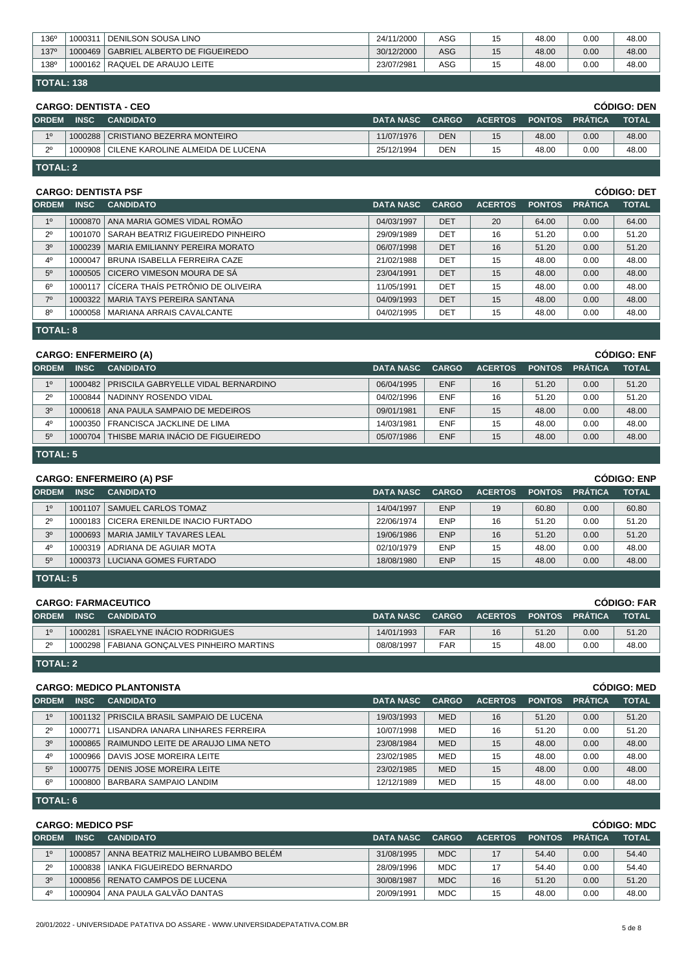| 136 <sup>°</sup>  | 1000311 | <b>DENILSON SOUSA LINO</b>            | 24/11/2000 | ASG | 15 | 48.00 | 0.00 | 48.00 |  |
|-------------------|---------|---------------------------------------|------------|-----|----|-------|------|-------|--|
| 1370              |         | 1000469 GABRIEL ALBERTO DE FIGUEIREDO | 30/12/2000 | ASG | 15 | 48.00 | 0.00 | 48.00 |  |
| 138 <sup>°</sup>  |         | 1000162   RAQUEL DE ARAUJO LEITE      | 23/07/2981 | ASG | 15 | 48.00 | 0.00 | 48.00 |  |
| <b>TOTAL: 138</b> |         |                                       |            |     |    |       |      |       |  |

|              | <b>CODIGO: DEN</b><br><b>CARGO: DENTISTA - CEO</b> |                                     |                  |              |                |       |                       |              |  |  |
|--------------|----------------------------------------------------|-------------------------------------|------------------|--------------|----------------|-------|-----------------------|--------------|--|--|
| <b>ORDEM</b> | <b>INSC</b>                                        | <b>CANDIDATO</b>                    | <b>DATA NASC</b> | <b>CARGO</b> | <b>ACERTOS</b> |       | <b>PONTOS PRÁTICA</b> | <b>TOTAL</b> |  |  |
| 10           |                                                    | 1000288 CRISTIANO BEZERRA MONTEIRO  | 11/07/1976       | <b>DEN</b>   | 15             | 48.00 | 0.00                  | 48.00        |  |  |
| $2^{\circ}$  | 1000908                                            | I CILENE KAROLINE ALMEIDA DE LUCENA | 25/12/1994       | DEN          | 15             | 48.00 | 0.00                  | 48.00        |  |  |
|              | l TOTAL: 2                                         |                                     |                  |              |                |       |                       |              |  |  |

### **CARGO: DENTISTA PSF CÓDIGO: DET**

| <b>ORDEM</b>   | <b>INSC</b>     | <b>CANDIDATO</b>                         | <b>DATA NASC</b> | <b>CARGO</b> | <b>ACERTOS</b> | <b>PONTOS</b> | <b>PRÁTICA</b> | <b>TOTAL</b> |  |
|----------------|-----------------|------------------------------------------|------------------|--------------|----------------|---------------|----------------|--------------|--|
| 1 <sup>0</sup> | 1000870         | ANA MARIA GOMES VIDAL ROMÃO              | 04/03/1997       | <b>DET</b>   | 20             | 64.00         | 0.00           | 64.00        |  |
| $2^{\circ}$    | 1001070         | SARAH BEATRIZ FIGUEIREDO PINHEIRO        | 29/09/1989       | <b>DET</b>   | 16             | 51.20         | 0.00           | 51.20        |  |
| 3 <sup>o</sup> |                 | 1000239   MARIA EMILIANNY PEREIRA MORATO | 06/07/1998       | <b>DET</b>   | 16             | 51.20         | 0.00           | 51.20        |  |
| 4 <sup>0</sup> | 1000047         | BRUNA ISABELLA FERREIRA CAZE             | 21/02/1988       | <b>DET</b>   | 15             | 48.00         | 0.00           | 48.00        |  |
| 5 <sup>0</sup> |                 | 1000505 CICERO VIMESON MOURA DE SÁ       | 23/04/1991       | <b>DET</b>   | 15             | 48.00         | 0.00           | 48.00        |  |
| 6 <sup>o</sup> | 1000117         | CÍCERA THAÍS PETRÔNIO DE OLIVEIRA        | 11/05/1991       | DET          | 15             | 48.00         | 0.00           | 48.00        |  |
| $7^\circ$      |                 | 1000322 MARIA TAYS PEREIRA SANTANA       | 04/09/1993       | <b>DET</b>   | 15             | 48.00         | 0.00           | 48.00        |  |
| $8^{\circ}$    |                 | 1000058   MARIANA ARRAIS CAVALCANTE      | 04/02/1995       | <b>DET</b>   | 15             | 48.00         | 0.00           | 48.00        |  |
|                | <b>TOTAL: 8</b> |                                          |                  |              |                |               |                |              |  |

## **CARGO: ENFERMEIRO (A) CÓDIGO: ENF**

|             |                  |                                                                                                                                                                                                                                                  |              |                |       |                | uuuu. Lii     |
|-------------|------------------|--------------------------------------------------------------------------------------------------------------------------------------------------------------------------------------------------------------------------------------------------|--------------|----------------|-------|----------------|---------------|
| <b>INSC</b> | <b>CANDIDATO</b> | <b>DATA NASC</b>                                                                                                                                                                                                                                 | <b>CARGO</b> | <b>ACERTOS</b> |       | <b>PRÁTICA</b> | <b>TOTAL</b>  |
|             |                  | 06/04/1995                                                                                                                                                                                                                                       | <b>ENF</b>   | 16             | 51.20 | 0.00           | 51.20         |
|             |                  | 04/02/1996                                                                                                                                                                                                                                       | <b>ENF</b>   | 16             | 51.20 | 0.00           | 51.20         |
|             |                  | 09/01/1981                                                                                                                                                                                                                                       | <b>ENF</b>   | 15             | 48.00 | 0.00           | 48.00         |
|             |                  | 14/03/1981                                                                                                                                                                                                                                       | <b>ENF</b>   | 15             | 48.00 | 0.00           | 48.00         |
|             |                  | 05/07/1986                                                                                                                                                                                                                                       | <b>ENF</b>   | 15             | 48.00 | 0.00           | 48.00         |
|             |                  | $O2CO2$ . Livi LivitLinvo (A)<br>1000482   PRISCILA GABRYELLE VIDAL BERNARDINO<br>1000844 NADINNY ROSENDO VIDAL<br>1000618   ANA PAULA SAMPAIO DE MEDEIROS<br>1000350 FRANCISCA JACKLINE DE LIMA<br>THISBE MARIA INACIO DE FIGUEIREDO<br>1000704 |              |                |       |                | <b>PONTOS</b> |

|  | TOTAL: 5 |  |
|--|----------|--|
|  |          |  |

|                | <b>CÓDIGO: ENP</b><br><b>CARGO: ENFERMEIRO (A) PSF</b>                                      |                                        |                  |              |                |               |                |              |  |  |
|----------------|---------------------------------------------------------------------------------------------|----------------------------------------|------------------|--------------|----------------|---------------|----------------|--------------|--|--|
| <b>ORDEM</b>   | <b>INSC</b>                                                                                 | <b>CANDIDATO</b>                       | <b>DATA NASC</b> | <b>CARGO</b> | <b>ACERTOS</b> | <b>PONTOS</b> | <b>PRÁTICA</b> | <b>TOTAL</b> |  |  |
| 10             | 1001107                                                                                     | <b>SAMUEL CARLOS TOMAZ</b>             | 14/04/1997       | <b>ENP</b>   | 19             | 60.80         | 0.00           | 60.80        |  |  |
| $2^{\circ}$    |                                                                                             | 1000183 CICERA ERENILDE INACIO FURTADO | 22/06/1974       | <b>ENP</b>   | 16             | 51.20         | 0.00           | 51.20        |  |  |
| 3 <sup>0</sup> |                                                                                             | 1000693   MARIA JAMILY TAVARES LEAL    | 19/06/1986       | <b>ENP</b>   | 16             | 51.20         | 0.00           | 51.20        |  |  |
| 4 <sup>0</sup> |                                                                                             | 1000319   ADRIANA DE AGUIAR MOTA       | 02/10/1979       | <b>ENP</b>   | 15             | 48.00         | 0.00           | 48.00        |  |  |
| 50             | <b>ENP</b><br>1000373   LUCIANA GOMES FURTADO<br>48.00<br>15<br>18/08/1980<br>48.00<br>0.00 |                                        |                  |              |                |               |                |              |  |  |
|                | <b>TOTAL: 5</b>                                                                             |                                        |                  |              |                |               |                |              |  |  |

|              | <b>CODIGO: FAR</b><br><b>CARGO: FARMACEUTICO</b> |                                              |                  |              |                |       |                       |              |  |  |
|--------------|--------------------------------------------------|----------------------------------------------|------------------|--------------|----------------|-------|-----------------------|--------------|--|--|
| <b>ORDEM</b> | <b>INSC</b>                                      | <b>CANDIDATO</b>                             | <b>DATA NASC</b> | <b>CARGO</b> | <b>ACERTOS</b> |       | <b>PONTOS PRÁTICA</b> | <b>TOTAL</b> |  |  |
| 10           |                                                  | 1000281   ISRAELYNE INACIO RODRIGUES         | 14/01/1993       | <b>FAR</b>   | 16             | 51.20 | 0.00                  | 51.20        |  |  |
| $2^{\circ}$  |                                                  | 1000298   FABIANA GONCALVES PINHEIRO MARTINS | 08/08/1997       | FAR          | 15             | 48.00 | 0.00                  | 48.00        |  |  |
|              | $\overline{\phantom{a}}$ TOTAL: 2                |                                              |                  |              |                |       |                       |              |  |  |

| <b>CODIGO: MED</b><br><b>CARGO: MEDICO PLANTONISTA</b> |             |                                              |                  |              |                |               |                |              |  |
|--------------------------------------------------------|-------------|----------------------------------------------|------------------|--------------|----------------|---------------|----------------|--------------|--|
| <b>ORDEM</b>                                           | <b>INSC</b> | <b>CANDIDATO</b>                             | <b>DATA NASC</b> | <b>CARGO</b> | <b>ACERTOS</b> | <b>PONTOS</b> | <b>PRÁTICA</b> | <b>TOTAL</b> |  |
| 1 <sup>0</sup>                                         |             | 1001132   PRISCILA BRASIL SAMPAIO DE LUCENA  | 19/03/1993       | <b>MED</b>   | 16             | 51.20         | 0.00           | 51.20        |  |
| $2^{\circ}$                                            | 1000771     | LISANDRA JANARA LINHARES FERREIRA            | 10/07/1998       | MED          | 16             | 51.20         | 0.00           | 51.20        |  |
| 3 <sup>o</sup>                                         |             | 1000865   RAIMUNDO LEITE DE ARAUJO LIMA NETO | 23/08/1984       | <b>MED</b>   | 15             | 48.00         | 0.00           | 48.00        |  |
| $4^{\circ}$                                            | 1000966     | I DAVIS JOSE MOREIRA LEITE                   | 23/02/1985       | <b>MED</b>   | 15             | 48.00         | 0.00           | 48.00        |  |
| 5 <sup>0</sup>                                         |             | 1000775 DENIS JOSE MOREIRA LEITE             | 23/02/1985       | <b>MED</b>   | 15             | 48.00         | 0.00           | 48.00        |  |
| 6 <sup>0</sup>                                         | 1000800     | BARBARA SAMPAIO LANDIM                       | 12/12/1989       | MED          | 15             | 48.00         | 0.00           | 48.00        |  |
|                                                        |             |                                              |                  |              |                |               |                |              |  |

**TOTAL: 6**

| <b>CODIGO: MDC</b><br><b>CARGO: MEDICO PSF</b> |             |                                     |                  |              |                |               |                |              |  |
|------------------------------------------------|-------------|-------------------------------------|------------------|--------------|----------------|---------------|----------------|--------------|--|
| <b>ORDEM</b>                                   | <b>INSC</b> | <b>CANDIDATO</b>                    | <b>DATA NASC</b> | <b>CARGO</b> | <b>ACERTOS</b> | <b>PONTOS</b> | <b>PRÁTICA</b> | <b>TOTAL</b> |  |
| 10                                             | 1000857     | ANNA BEATRIZ MALHEIRO LUBAMBO BELÉM | 31/08/1995       | MDC.         | 17             | 54.40         | 0.00           | 54.40        |  |
| $2^{\circ}$                                    | 1000838     | <b>I IANKA FIGUEIREDO BERNARDO</b>  | 28/09/1996       | MDC.         | 17             | 54.40         | 0.00           | 54.40        |  |
| 30                                             |             | 1000856   RENATO CAMPOS DE LUCENA   | 30/08/1987       | MDC.         | 16             | 51.20         | 0.00           | 51.20        |  |
| 40                                             |             | 1000904   ANA PAULA GALVÃO DANTAS   | 20/09/1991       | MDC          | 15             | 48.00         | 0.00           | 48.00        |  |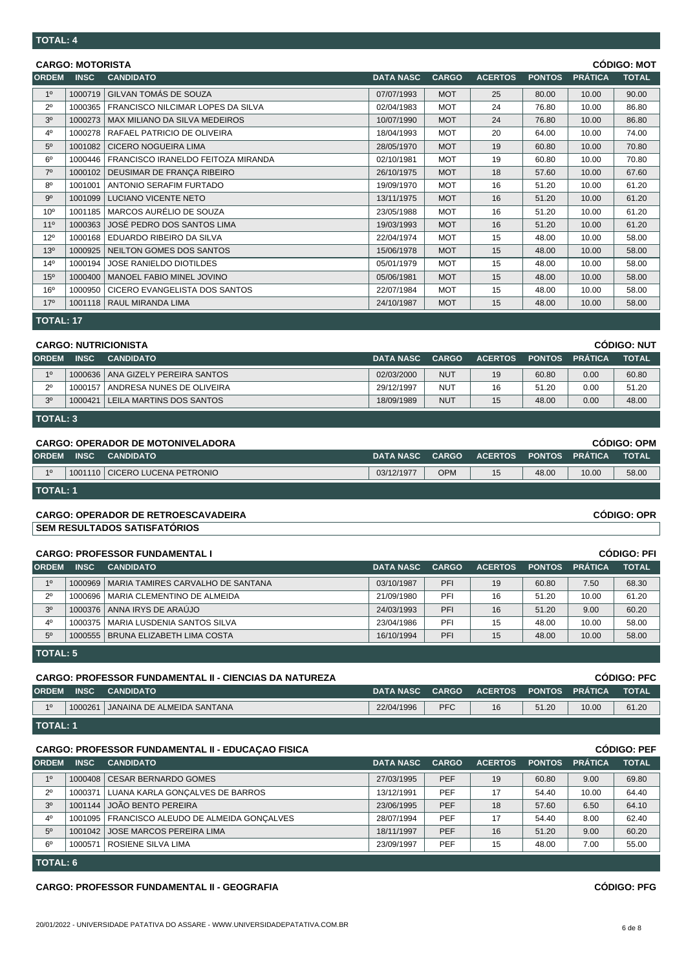| <b>CÓDIGO: MOT</b><br><b>CARGO: MOTORISTA</b> |             |                                    |                  |              |                |               |                |              |  |
|-----------------------------------------------|-------------|------------------------------------|------------------|--------------|----------------|---------------|----------------|--------------|--|
| <b>ORDEM</b>                                  | <b>INSC</b> | <b>CANDIDATO</b>                   | <b>DATA NASC</b> | <b>CARGO</b> | <b>ACERTOS</b> | <b>PONTOS</b> | <b>PRÁTICA</b> | <b>TOTAL</b> |  |
| 1 <sup>0</sup>                                | 1000719     | GILVAN TOMÁS DE SOUZA              | 07/07/1993       | <b>MOT</b>   | 25             | 80.00         | 10.00          | 90.00        |  |
| $2^{\circ}$                                   | 1000365     | FRANCISCO NILCIMAR LOPES DA SILVA  | 02/04/1983       | <b>MOT</b>   | 24             | 76.80         | 10.00          | 86.80        |  |
| 3 <sup>0</sup>                                | 1000273     | MAX MILIANO DA SILVA MEDEIROS      | 10/07/1990       | <b>MOT</b>   | 24             | 76.80         | 10.00          | 86.80        |  |
| 4 <sup>0</sup>                                | 1000278     | RAFAEL PATRICIO DE OLIVEIRA        | 18/04/1993       | <b>MOT</b>   | 20             | 64.00         | 10.00          | 74.00        |  |
| 5 <sup>0</sup>                                | 1001082     | <b>CICERO NOGUEIRA LIMA</b>        | 28/05/1970       | <b>MOT</b>   | 19             | 60.80         | 10.00          | 70.80        |  |
| 6 <sup>0</sup>                                | 1000446     | FRANCISCO IRANELDO FEITOZA MIRANDA | 02/10/1981       | <b>MOT</b>   | 19             | 60.80         | 10.00          | 70.80        |  |
| $7^\circ$                                     | 1000102     | DEUSIMAR DE FRANÇA RIBEIRO         | 26/10/1975       | <b>MOT</b>   | 18             | 57.60         | 10.00          | 67.60        |  |
| 8 <sup>0</sup>                                | 1001001     | <b>ANTONIO SERAFIM FURTADO</b>     | 19/09/1970       | <b>MOT</b>   | 16             | 51.20         | 10.00          | 61.20        |  |
| 9 <sup>o</sup>                                | 1001099     | LUCIANO VICENTE NETO               | 13/11/1975       | <b>MOT</b>   | 16             | 51.20         | 10.00          | 61.20        |  |
| 10 <sup>o</sup>                               | 1001185     | MARCOS AURÉLIO DE SOUZA            | 23/05/1988       | <b>MOT</b>   | 16             | 51.20         | 10.00          | 61.20        |  |
| $11^{\circ}$                                  | 1000363     | JOSÉ PEDRO DOS SANTOS LIMA         | 19/03/1993       | <b>MOT</b>   | 16             | 51.20         | 10.00          | 61.20        |  |
| $12^{\circ}$                                  | 1000168     | EDUARDO RIBEIRO DA SILVA           | 22/04/1974       | <b>MOT</b>   | 15             | 48.00         | 10.00          | 58.00        |  |
| 13 <sup>o</sup>                               | 1000925     | NEILTON GOMES DOS SANTOS           | 15/06/1978       | <b>MOT</b>   | 15             | 48.00         | 10.00          | 58.00        |  |
| $14^{0}$                                      | 1000194     | <b>JOSE RANIELDO DIOTILDES</b>     | 05/01/1979       | <b>MOT</b>   | 15             | 48.00         | 10.00          | 58.00        |  |
| 15 <sup>0</sup>                               | 1000400     | MANOEL FABIO MINEL JOVINO          | 05/06/1981       | <b>MOT</b>   | 15             | 48.00         | 10.00          | 58.00        |  |
| 16 <sup>o</sup>                               | 1000950     | CICERO EVANGELISTA DOS SANTOS      | 22/07/1984       | <b>MOT</b>   | 15             | 48.00         | 10.00          | 58.00        |  |
| 17 <sup>°</sup>                               |             | 1001118   RAUL MIRANDA LIMA        | 24/10/1987       | <b>MOT</b>   | 15             | 48.00         | 10.00          | 58.00        |  |
|                                               |             |                                    |                  |              |                |               |                |              |  |

**TOTAL: 17**

| <b>CODIGO: NUT</b><br><b>CARGO: NUTRICIONISTA</b> |                                   |                                     |                  |              |                |               |                |              |  |  |
|---------------------------------------------------|-----------------------------------|-------------------------------------|------------------|--------------|----------------|---------------|----------------|--------------|--|--|
| <b>ORDEM</b>                                      | <b>INSC</b>                       | <b>CANDIDATO</b>                    | <b>DATA NASC</b> | <b>CARGO</b> | <b>ACERTOS</b> | <b>PONTOS</b> | <b>PRÁTICA</b> | <b>TOTAL</b> |  |  |
| 10                                                |                                   | 1000636   ANA GIZELY PEREIRA SANTOS | 02/03/2000       | <b>NUT</b>   | 19             | 60.80         | 0.00           | 60.80        |  |  |
| $2^{\circ}$                                       | 1000157                           | ANDRESA NUNES DE OLIVEIRA           | 29/12/1997       | NUT          | 16             | 51.20         | 0.00           | 51.20        |  |  |
| 3 <sup>0</sup>                                    | 1000421                           | I LEILA MARTINS DOS SANTOS          | 18/09/1989       | <b>NUT</b>   | 15             | 48.00         | 0.00           | 48.00        |  |  |
|                                                   | $\overline{\phantom{a}}$ TOTAL: 3 |                                     |                  |              |                |               |                |              |  |  |

|              | <b>CÓDIGO: OPM</b><br><b>CARGO: OPERADOR DE MOTONIVELADORA</b> |                                  |                 |            |                |                  |       |              |  |  |
|--------------|----------------------------------------------------------------|----------------------------------|-----------------|------------|----------------|------------------|-------|--------------|--|--|
| <b>ORDEM</b> | <b>INSC</b>                                                    | <b>CANDIDATO</b>                 | DATA NASC CARGO |            | <b>ACERTOS</b> | I PONTOS PRÁTICA |       | <b>TOTAL</b> |  |  |
| 10           |                                                                | 1001110   CICERO LUCENA PETRONIO | 03/12/1977      | <b>OPM</b> | 15             | 48.00            | 10.00 | 58.00        |  |  |
|              | <b>TOTAL: 1</b>                                                |                                  |                 |            |                |                  |       |              |  |  |

## **CARGO: OPERADOR DE RETROESCAVADEIRA CÓDIGO: OPR**

**SEM RESULTADOS SATISFATÓRIOS**

### **CARGO: PROFESSOR FUNDAMENTAL I CÓDIGO: PFI**

| <b>ORDEM</b>   | <b>INSC</b>     | <b>CANDIDATO</b>                            | <b>DATA NASC</b> | <b>CARGO</b> | <b>ACERTOS</b> | <b>PONTOS</b> | <b>PRÁTICA</b> | <b>TOTAL</b> |  |  |
|----------------|-----------------|---------------------------------------------|------------------|--------------|----------------|---------------|----------------|--------------|--|--|
| 10             |                 | 1000969   MARIA TAMIRES CARVALHO DE SANTANA | 03/10/1987       | PFI          | 19             | 60.80         | 7.50           | 68.30        |  |  |
| $2^{\circ}$    | 1000696         | I MARIA CLEMENTINO DE ALMEIDA               | 21/09/1980       | PFI          | 16             | 51.20         | 10.00          | 61.20        |  |  |
| 3 <sup>o</sup> |                 | 1000376 ANNA IRYS DE ARAÚJO                 | 24/03/1993       | PFI          | 16             | 51.20         | 9.00           | 60.20        |  |  |
| 4 <sup>0</sup> |                 | 1000375   MARIA LUSDENIA SANTOS SILVA       | 23/04/1986       | PFI          | 15             | 48.00         | 10.00          | 58.00        |  |  |
| 5 <sup>0</sup> |                 | 1000555   BRUNA ELIZABETH LIMA COSTA        | 16/10/1994       | PFI          | 15             | 48.00         | 10.00          | 58.00        |  |  |
|                | <b>TOTAL: 5</b> |                                             |                  |              |                |               |                |              |  |  |

|                 |             | <b>CARGO: PROFESSOR FUNDAMENTAL II - CIENCIAS DA NATUREZA</b> |                  |              |                |                       |       | <b>CODIGO: PFC</b> |
|-----------------|-------------|---------------------------------------------------------------|------------------|--------------|----------------|-----------------------|-------|--------------------|
| <b>ORDEM</b>    | <b>INSC</b> | <b>CANDIDATO</b>                                              | <b>DATA NASC</b> | <b>CARGO</b> | <b>ACERTOS</b> | <b>PONTOS PRÁTICA</b> |       | <b>TOTAL</b>       |
| 10              | 1000261     | I JANAINA DE ALMEIDA SANTANA                                  | 22/04/1996       | <b>PFC</b>   | 16             | 51.20                 | 10.00 | 61.20              |
| <b>TOTAL: 1</b> |             |                                                               |                  |              |                |                       |       |                    |

| <b>CODIGO: PEF</b><br><b>CARGO: PROFESSOR FUNDAMENTAL II - EDUCAÇÃO FISICA</b> |             |                                                 |                  |              |                |               |                |              |
|--------------------------------------------------------------------------------|-------------|-------------------------------------------------|------------------|--------------|----------------|---------------|----------------|--------------|
| <b>ORDEM</b>                                                                   | <b>INSC</b> | <b>CANDIDATO</b>                                | <b>DATA NASC</b> | <b>CARGO</b> | <b>ACERTOS</b> | <b>PONTOS</b> | <b>PRÁTICA</b> | <b>TOTAL</b> |
| 1 <sup>0</sup>                                                                 |             | 1000408 CESAR BERNARDO GOMES                    | 27/03/1995       | PEF          | 19             | 60.80         | 9.00           | 69.80        |
| $2^{\circ}$                                                                    | 1000371     | LUANA KARLA GONÇALVES DE BARROS                 | 13/12/1991       | PEF          | 17             | 54.40         | 10.00          | 64.40        |
| 3 <sup>0</sup>                                                                 |             | 1001144 JOÃO BENTO PEREIRA                      | 23/06/1995       | <b>PEF</b>   | 18             | 57.60         | 6.50           | 64.10        |
| $4^{\circ}$                                                                    |             | 1001095   FRANCISCO ALEUDO DE ALMEIDA GONÇALVES | 28/07/1994       | PEF          | 17             | 54.40         | 8.00           | 62.40        |
| 5 <sup>0</sup>                                                                 |             | 1001042 JOSE MARCOS PEREIRA LIMA                | 18/11/1997       | <b>PEF</b>   | 16             | 51.20         | 9.00           | 60.20        |
| $6^{\circ}$                                                                    | 1000571     | I ROSIENE SILVA LIMA                            | 23/09/1997       | PEF          | 15             | 48.00         | 7.00           | 55.00        |
|                                                                                | l TOTAL: 6  |                                                 |                  |              |                |               |                |              |

## **CARGO: PROFESSOR FUNDAMENTAL II - GEOGRAFIA CÓDIGO: PFG**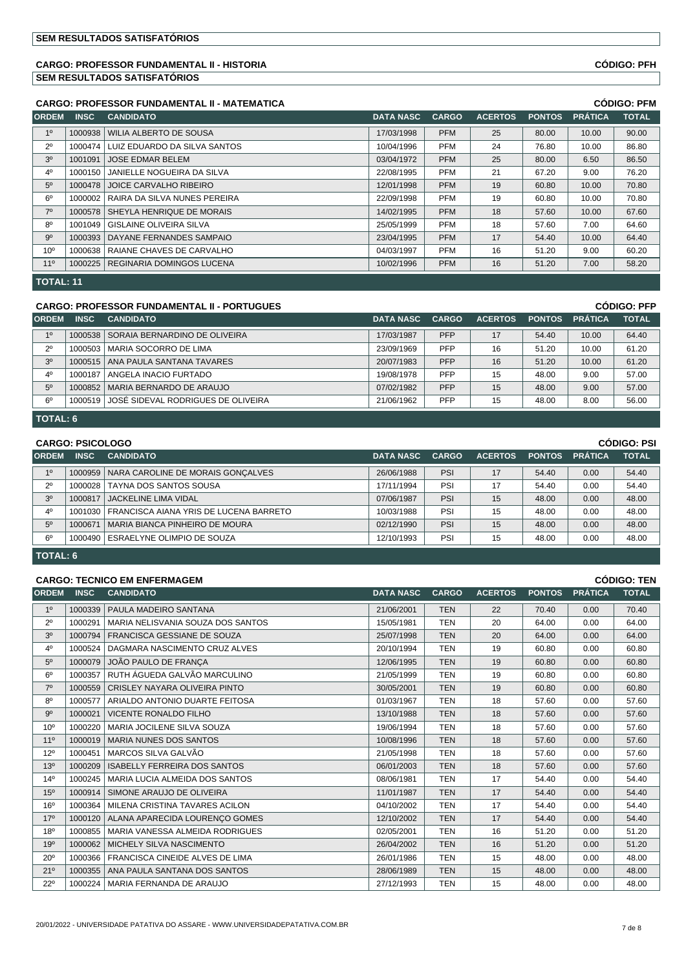### **CARGO: PROFESSOR FUNDAMENTAL II - HISTORIA CÓDIGO: PFH SEM RESULTADOS SATISFATÓRIOS**

|                 |             | <b>CARGO: PROFESSOR FUNDAMENTAL II - MATEMATICA</b> |                  |              |                |               | <b>CÓDIGO: PFM</b><br><b>PRÁTICA</b><br><b>TOTAL</b><br>10.00<br>90.00<br>86.80<br>10.00<br>86.50<br>6.50<br>9.00<br>76.20<br>70.80<br>10.00<br>70.80<br>10.00<br>67.60<br>10.00<br>7.00<br>64.60<br>10.00<br>64.40<br>9.00<br>60.20<br>58.20<br>7.00 |  |
|-----------------|-------------|-----------------------------------------------------|------------------|--------------|----------------|---------------|-------------------------------------------------------------------------------------------------------------------------------------------------------------------------------------------------------------------------------------------------------|--|
| <b>ORDEM</b>    | <b>INSC</b> | <b>CANDIDATO</b>                                    | <b>DATA NASC</b> | <b>CARGO</b> | <b>ACERTOS</b> | <b>PONTOS</b> |                                                                                                                                                                                                                                                       |  |
| 1 <sup>0</sup>  | 1000938     | WILIA ALBERTO DE SOUSA                              | 17/03/1998       | <b>PFM</b>   | 25             | 80.00         |                                                                                                                                                                                                                                                       |  |
| $2^{\circ}$     | 1000474     | LUIZ EDUARDO DA SILVA SANTOS                        | 10/04/1996       | <b>PFM</b>   | 24             | 76.80         |                                                                                                                                                                                                                                                       |  |
| 3 <sup>o</sup>  | 1001091     | <b>JOSE EDMAR BELEM</b>                             | 03/04/1972       | <b>PFM</b>   | 25             | 80.00         |                                                                                                                                                                                                                                                       |  |
| 4 <sup>0</sup>  | 1000150     | JANIELLE NOGUEIRA DA SILVA                          | 22/08/1995       | <b>PFM</b>   | 21             | 67.20         |                                                                                                                                                                                                                                                       |  |
| 5 <sup>0</sup>  | 1000478     | JOICE CARVALHO RIBEIRO                              | 12/01/1998       | <b>PFM</b>   | 19             | 60.80         |                                                                                                                                                                                                                                                       |  |
| $6^{\circ}$     | 1000002     | RAIRA DA SILVA NUNES PEREIRA                        | 22/09/1998       | <b>PFM</b>   | 19             | 60.80         |                                                                                                                                                                                                                                                       |  |
| $7^\circ$       | 1000578     | SHEYLA HENRIQUE DE MORAIS                           | 14/02/1995       | <b>PFM</b>   | 18             | 57.60         |                                                                                                                                                                                                                                                       |  |
| $8^{\circ}$     | 1001049     | <b>GISLAINE OLIVEIRA SILVA</b>                      | 25/05/1999       | <b>PFM</b>   | 18             | 57.60         |                                                                                                                                                                                                                                                       |  |
| $9^{\circ}$     | 1000393     | DAYANE FERNANDES SAMPAIO                            | 23/04/1995       | <b>PFM</b>   | 17             | 54.40         |                                                                                                                                                                                                                                                       |  |
| 10 <sup>o</sup> | 1000638     | RAIANE CHAVES DE CARVALHO                           | 04/03/1997       | <b>PFM</b>   | 16             | 51.20         |                                                                                                                                                                                                                                                       |  |
| 11 <sup>°</sup> | 1000225     | I REGINARIA DOMINGOS LUCENA                         | 10/02/1996       | <b>PFM</b>   | 16             | 51.20         |                                                                                                                                                                                                                                                       |  |

**TOTAL: 11**

### **CARGO: PROFESSOR FUNDAMENTAL II - PORTUGUES CÓDIGO: PFP**

| <b>ORDEM</b>   | <b>INSC</b> | <b>CANDIDATO</b>                      | <b>DATA NASC</b> | CARGO      | <b>ACERTOS</b> | <b>PONTOS</b> | <b>PRÁTICA</b> | <b>TOTAL</b> |
|----------------|-------------|---------------------------------------|------------------|------------|----------------|---------------|----------------|--------------|
| 10             |             | 1000538 SORAIA BERNARDINO DE OLIVEIRA | 17/03/1987       | <b>PFP</b> | 17             | 54.40         | 10.00          | 64.40        |
| $2^{\circ}$    |             | 1000503   MARIA SOCORRO DE LIMA       | 23/09/1969       | <b>PFP</b> | 16             | 51.20         | 10.00          | 61.20        |
| 3 <sup>0</sup> | 1000515     | ANA PAULA SANTANA TAVARES             | 20/07/1983       | <b>PFP</b> | 16             | 51.20         | 10.00          | 61.20        |
| $4^{\circ}$    | 1000187     | ANGELA INACIO FURTADO                 | 19/08/1978       | <b>PFP</b> | 15             | 48.00         | 9.00           | 57.00        |
| 5 <sup>0</sup> | 1000852     | MARIA BERNARDO DE ARAUJO              | 07/02/1982       | <b>PFP</b> | 15             | 48.00         | 9.00           | 57.00        |
| 6 <sup>0</sup> | 1000519     | LJOSÉ SIDEVAL RODRIGUES DE OLIVEIRA   | 21/06/1962       | <b>PFP</b> | 15             | 48.00         | 8.00           | 56.00        |
|                |             |                                       |                  |            |                |               |                |              |

**TOTAL: 6**

|                | <b>CARGO: PSICOLOGO</b> |                                             | <b>CÓDIGO: PSI</b><br><b>TOTAL</b><br><b>PRÁTICA</b><br><b>ACERTOS</b><br><b>PONTOS</b><br><b>DATA NASC</b><br><b>CARGO</b><br>PSI<br>26/06/1988<br>17<br>54.40<br>0.00<br>54.40<br>PSI<br>54.40<br>17/11/1994<br>17<br>54.40<br>0.00<br>PSI<br>48.00<br>15<br>07/06/1987<br>48.00<br>0.00 |     |    |       |      |       |
|----------------|-------------------------|---------------------------------------------|--------------------------------------------------------------------------------------------------------------------------------------------------------------------------------------------------------------------------------------------------------------------------------------------|-----|----|-------|------|-------|
| <b>ORDEM</b>   | <b>INSC</b>             | <b>CANDIDATO</b>                            |                                                                                                                                                                                                                                                                                            |     |    |       |      |       |
| 1 <sup>0</sup> |                         | 1000959   NARA CAROLINE DE MORAIS GONCALVES |                                                                                                                                                                                                                                                                                            |     |    |       |      |       |
| $2^{\circ}$    | 1000028                 | <b>TAYNA DOS SANTOS SOUSA</b>               |                                                                                                                                                                                                                                                                                            |     |    |       |      |       |
| 3 <sup>o</sup> | 1000817                 | <b>JACKELINE LIMA VIDAL</b>                 |                                                                                                                                                                                                                                                                                            |     |    |       |      |       |
| $4^{\circ}$    | 1001030                 | FRANCISCA AIANA YRIS DE LUCENA BARRETO      | 10/03/1988                                                                                                                                                                                                                                                                                 | PSI | 15 | 48.00 | 0.00 | 48.00 |
| 5 <sup>0</sup> | 1000671                 | MARIA BIANCA PINHEIRO DE MOURA              | 02/12/1990                                                                                                                                                                                                                                                                                 | PSI | 15 | 48.00 | 0.00 | 48.00 |
| $6^{\circ}$    |                         | 1000490 ESRAELYNE OLIMPIO DE SOUZA          | 12/10/1993                                                                                                                                                                                                                                                                                 | PSI | 15 | 48.00 | 0.00 | 48.00 |
|                | l TOTAL: 6              |                                             |                                                                                                                                                                                                                                                                                            |     |    |       |      |       |

### **CARGO: TECNICO EM ENFERMAGEM CÓDIGO: TEN**

|                 |             | <b>UARUU. TEUNIUU EIN ENI ERIMAUEM</b> |                  |              |                |               |                | יום. טטושטט  |
|-----------------|-------------|----------------------------------------|------------------|--------------|----------------|---------------|----------------|--------------|
| <b>ORDEM</b>    | <b>INSC</b> | <b>CANDIDATO</b>                       | <b>DATA NASC</b> | <b>CARGO</b> | <b>ACERTOS</b> | <b>PONTOS</b> | <b>PRÁTICA</b> | <b>TOTAL</b> |
| 1 <sup>0</sup>  | 1000339     | PAULA MADEIRO SANTANA                  | 21/06/2001       | <b>TEN</b>   | 22             | 70.40         | 0.00           | 70.40        |
| $2^{\circ}$     | 1000291     | MARIA NELISVANIA SOUZA DOS SANTOS      | 15/05/1981       | <b>TEN</b>   | 20             | 64.00         | 0.00           | 64.00        |
| 3 <sup>0</sup>  | 1000794     | <b>FRANCISCA GESSIANE DE SOUZA</b>     | 25/07/1998       | <b>TEN</b>   | 20             | 64.00         | 0.00           | 64.00        |
| 4 <sup>0</sup>  | 1000524     | DAGMARA NASCIMENTO CRUZ ALVES          | 20/10/1994       | <b>TEN</b>   | 19             | 60.80         | 0.00           | 60.80        |
| 5 <sup>0</sup>  | 1000079     | JOÃO PAULO DE FRANÇA                   | 12/06/1995       | <b>TEN</b>   | 19             | 60.80         | 0.00           | 60.80        |
| $6^{\circ}$     | 1000357     | RUTH ÁGUEDA GALVÃO MARCULINO           | 21/05/1999       | <b>TEN</b>   | 19             | 60.80         | 0.00           | 60.80        |
| 7 <sup>0</sup>  | 1000559     | CRISLEY NAYARA OLIVEIRA PINTO          | 30/05/2001       | <b>TEN</b>   | 19             | 60.80         | 0.00           | 60.80        |
| 8 <sup>0</sup>  | 1000577     | ARIALDO ANTONIO DUARTE FEITOSA         | 01/03/1967       | <b>TEN</b>   | 18             | 57.60         | 0.00           | 57.60        |
| 9 <sup>o</sup>  | 1000021     | <b>VICENTE RONALDO FILHO</b>           | 13/10/1988       | <b>TEN</b>   | 18             | 57.60         | 0.00           | 57.60        |
| 10 <sup>o</sup> | 1000220     | MARIA JOCILENE SILVA SOUZA             | 19/06/1994       | <b>TEN</b>   | 18             | 57.60         | 0.00           | 57.60        |
| $11^{\circ}$    | 1000019     | <b>MARIA NUNES DOS SANTOS</b>          | 10/08/1996       | <b>TEN</b>   | 18             | 57.60         | 0.00           | 57.60        |
| 12°             | 1000451     | MARCOS SILVA GALVÃO                    | 21/05/1998       | <b>TEN</b>   | 18             | 57.60         | 0.00           | 57.60        |
| 13 <sup>o</sup> | 1000209     | <b>ISABELLY FERREIRA DOS SANTOS</b>    | 06/01/2003       | <b>TEN</b>   | 18             | 57.60         | 0.00           | 57.60        |
| 14 <sup>°</sup> | 1000245     | MARIA LUCIA ALMEIDA DOS SANTOS         | 08/06/1981       | <b>TEN</b>   | 17             | 54.40         | 0.00           | 54.40        |
| 15 <sup>o</sup> | 1000914     | SIMONE ARAUJO DE OLIVEIRA              | 11/01/1987       | <b>TEN</b>   | 17             | 54.40         | 0.00           | 54.40        |
| 16 <sup>o</sup> | 1000364     | MILENA CRISTINA TAVARES ACILON         | 04/10/2002       | <b>TEN</b>   | 17             | 54.40         | 0.00           | 54.40        |
| 17 <sup>°</sup> | 1000120     | ALANA APARECIDA LOURENÇO GOMES         | 12/10/2002       | <b>TEN</b>   | 17             | 54.40         | 0.00           | 54.40        |
| 18 <sup>o</sup> | 1000855     | MARIA VANESSA ALMEIDA RODRIGUES        | 02/05/2001       | <b>TEN</b>   | 16             | 51.20         | 0.00           | 51.20        |
| 19 <sup>o</sup> | 1000062     | <b>MICHELY SILVA NASCIMENTO</b>        | 26/04/2002       | <b>TEN</b>   | 16             | 51.20         | 0.00           | 51.20        |
| 20 <sup>o</sup> | 1000366     | FRANCISCA CINEIDE ALVES DE LIMA        | 26/01/1986       | <b>TEN</b>   | 15             | 48.00         | 0.00           | 48.00        |
| 21°             | 1000355     | ANA PAULA SANTANA DOS SANTOS           | 28/06/1989       | <b>TEN</b>   | 15             | 48.00         | 0.00           | 48.00        |
| $22^{\circ}$    |             | 1000224   MARIA FERNANDA DE ARAUJO     | 27/12/1993       | <b>TEN</b>   | 15             | 48.00         | 0.00           | 48.00        |